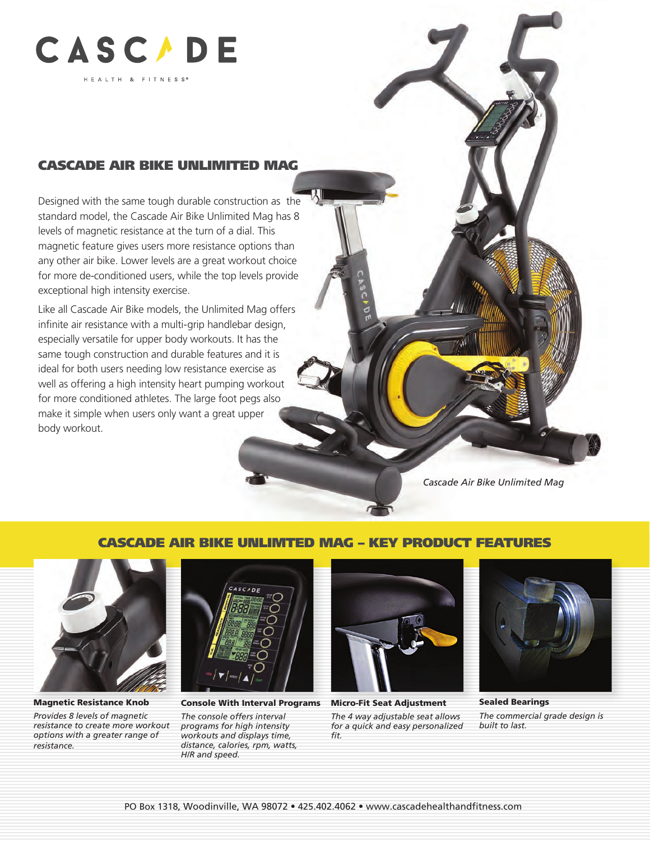

### CASCADE AIR BIKE UNLIMITED MAG

Designed with the same tough durable construction as the standard model, the Cascade Air Bike Unlimited Mag has 8 levels of magnetic resistance at the turn of a dial. This magnetic feature gives users more resistance options than any other air bike. Lower levels are a great workout choice for more de-conditioned users, while the top levels provide exceptional high intensity exercise.

Like all Cascade Air Bike models, the Unlimited Mag offers infinite air resistance with a multi-grip handlebar design, especially versatile for upper body workouts. It has the same tough construction and durable features and it is ideal for both users needing low resistance exercise as well as offering a high intensity heart pumping workout for more conditioned athletes. The large foot pegs also make it simple when users only want a great upper body workout.

*Cascade Air Bike Unlimited Mag*

#### CASCADE AIR BIKE UNLIMTED MAG – KEY PRODUCT FEATURES



Magnetic Resistance Knob

*Provides 8 levels of magnetic resistance to create more workout options with a greater range of resistance.*



Console With Interval Programs Micro-Fit Seat Adjustment

*The console offers interval programs for high intensity workouts and displays time, distance, calories, rpm, watts, H/R and speed.*



*The 4 way adjustable seat allows for a quick and easy personalized fit.*



Sealed Bearings *The commercial grade design is built to last.*